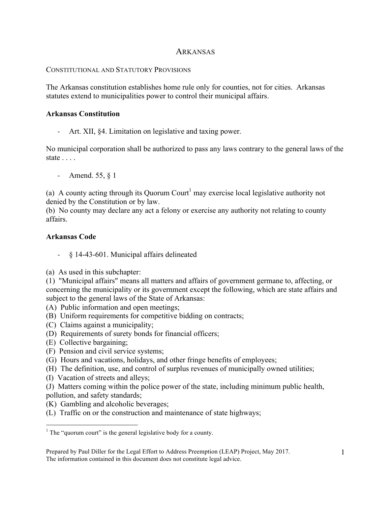# ARKANSAS

### CONSTITUTIONAL AND STATUTORY PROVISIONS

The Arkansas constitution establishes home rule only for counties, not for cities. Arkansas statutes extend to municipalities power to control their municipal affairs.

#### **Arkansas Constitution**

- Art. XII, §4. Limitation on legislative and taxing power.

No municipal corporation shall be authorized to pass any laws contrary to the general laws of the state . . . .

- Amend. 55, § 1

(a) A county acting through its Quorum Court<sup>1</sup> may exercise local legislative authority not denied by the Constitution or by law.

(b) No county may declare any act a felony or exercise any authority not relating to county affairs.

## **Arkansas Code**

- § 14-43-601. Municipal affairs delineated
- (a) As used in this subchapter:
- (1) "Municipal affairs" means all matters and affairs of government germane to, affecting, or concerning the municipality or its government except the following, which are state affairs and subject to the general laws of the State of Arkansas:
- (A) Public information and open meetings;
- (B) Uniform requirements for competitive bidding on contracts;
- (C) Claims against a municipality;
- (D) Requirements of surety bonds for financial officers;
- (E) Collective bargaining;
- (F) Pension and civil service systems;
- (G) Hours and vacations, holidays, and other fringe benefits of employees;
- (H) The definition, use, and control of surplus revenues of municipally owned utilities;
- (I) Vacation of streets and alleys;

(J) Matters coming within the police power of the state, including minimum public health, pollution, and safety standards;

- (K) Gambling and alcoholic beverages;
- (L) Traffic on or the construction and maintenance of state highways;

 $\frac{1}{1}$  $1$  The "quorum court" is the general legislative body for a county.

Prepared by Paul Diller for the Legal Effort to Address Preemption (LEAP) Project, May 2017. The information contained in this document does not constitute legal advice.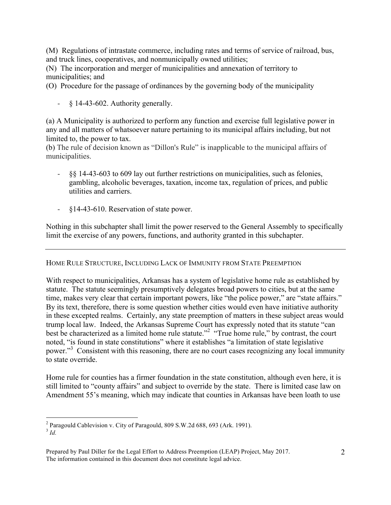(M) Regulations of intrastate commerce, including rates and terms of service of railroad, bus, and truck lines, cooperatives, and nonmunicipally owned utilities;

(N) The incorporation and merger of municipalities and annexation of territory to municipalities; and

(O) Procedure for the passage of ordinances by the governing body of the municipality

 $\frac{1}{2}$  § 14-43-602. Authority generally.

(a) A Municipality is authorized to perform any function and exercise full legislative power in any and all matters of whatsoever nature pertaining to its municipal affairs including, but not limited to, the power to tax.

(b) The rule of decision known as "Dillon's Rule" is inapplicable to the municipal affairs of municipalities.

- §§ 14-43-603 to 609 lay out further restrictions on municipalities, such as felonies, gambling, alcoholic beverages, taxation, income tax, regulation of prices, and public utilities and carriers.
- §14-43-610. Reservation of state power.

Nothing in this subchapter shall limit the power reserved to the General Assembly to specifically limit the exercise of any powers, functions, and authority granted in this subchapter.

## HOME RULE STRUCTURE, INCLUDING LACK OF IMMUNITY FROM STATE PREEMPTION

With respect to municipalities, Arkansas has a system of legislative home rule as established by statute. The statute seemingly presumptively delegates broad powers to cities, but at the same time, makes very clear that certain important powers, like "the police power," are "state affairs." By its text, therefore, there is some question whether cities would even have initiative authority in these excepted realms. Certainly, any state preemption of matters in these subject areas would trump local law. Indeed, the Arkansas Supreme Court has expressly noted that its statute "can best be characterized as a limited home rule statute."<sup>2</sup> "True home rule," by contrast, the court noted, "is found in state constitutions" where it establishes "a limitation of state legislative power."<sup>3</sup> Consistent with this reasoning, there are no court cases recognizing any local immunity to state override.

Home rule for counties has a firmer foundation in the state constitution, although even here, it is still limited to "county affairs" and subject to override by the state. There is limited case law on Amendment 55's meaning, which may indicate that counties in Arkansas have been loath to use

 $\frac{1}{2}$ <sup>2</sup> Paragould Cablevision v. City of Paragould, 809 S.W.2d 688, 693 (Ark. 1991).

<sup>3</sup> *Id.*

Prepared by Paul Diller for the Legal Effort to Address Preemption (LEAP) Project, May 2017. The information contained in this document does not constitute legal advice.